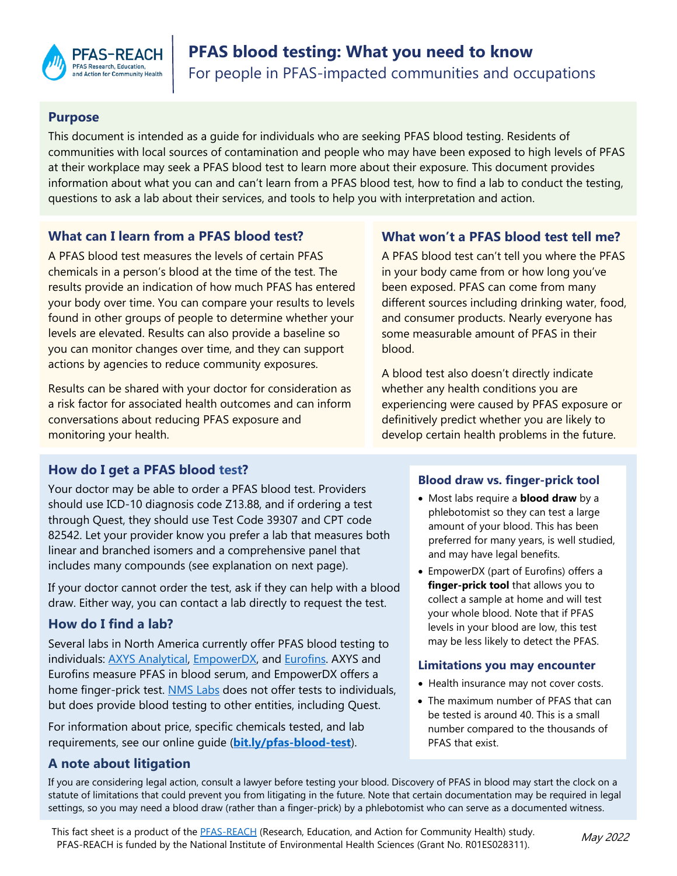

# **Purpose**

This document is intended as a guide for individuals who are seeking PFAS blood testing. Residents of communities with local sources of contamination and people who may have been exposed to high levels of PFAS at their workplace may seek a PFAS blood test to learn more about their exposure. This document provides information about what you can and can't learn from a PFAS blood test, how to find a lab to conduct the testing, questions to ask a lab about their services, and tools to help you with interpretation and action.

## **What can I learn from a PFAS blood test?**

A PFAS blood test measures the levels of certain PFAS chemicals in a person's blood at the time of the test. The results provide an indication of how much PFAS has entered your body over time. You can compare your results to levels found in other groups of people to determine whether your levels are elevated. Results can also provide a baseline so you can monitor changes over time, and they can support actions by agencies to reduce community exposures.

Results can be shared with your doctor for consideration as a risk factor for associated health outcomes and can inform conversations about reducing PFAS exposure and monitoring your health.

## **How do I get a PFAS blood test?**

Your doctor may be able to order a PFAS blood test. Providers should use ICD-10 diagnosis code Z13.88, and if ordering a test through Quest, they should use Test Code 39307 and CPT code 82542. Let your provider know you prefer a lab that measures both linear and branched isomers and a comprehensive panel that includes many compounds (see explanation on next page).

If your doctor cannot order the test, ask if they can help with a blood draw. Either way, you can contact a lab directly to request the test.

## **How do I find a lab?**

Several labs in North America currently offer PFAS blood testing to individuals: [AXYS](https://www.sgsaxys.com/sampling-analysis/pfas/) Analytical, [EmpowerDX,](https://empowerdxlab.com/products/product/pfas-exposure-test) and [Eurofins.](https://www.eurofinsus.com/environment-testing/pfas-testing/services/blood-and-serum/) AXYS and Eurofins measure PFAS in blood serum, and EmpowerDX offers a home finger-prick test. [NMS Labs](https://www.nmslabs.com/tests/3427SP#overview) does not offer tests to individuals, but does provide blood testing to other entities, including Quest.

For information about price, specific chemicals tested, and lab requirements, see our online guide (**[bit.ly/pfas-blood-test](https://docs.google.com/spreadsheets/d/1kUdZIkpA-cIaKbEwv_7vm8_l1q6kOu-r3zErxwYwr08/edit#gid=346039373)**).

# **A note about litigation**

# **What won't a PFAS blood test tell me?**

A PFAS blood test can't tell you where the PFAS in your body came from or how long you've been exposed. PFAS can come from many different sources including drinking water, food, and consumer products. Nearly everyone has some measurable amount of PFAS in their blood.

A blood test also doesn't directly indicate whether any health conditions you are experiencing were caused by PFAS exposure or definitively predict whether you are likely to develop certain health problems in the future.

#### **Blood draw vs. finger-prick tool**

- Most labs require a **blood draw** by a phlebotomist so they can test a large amount of your blood. This has been preferred for many years, is well studied, and may have legal benefits.
- EmpowerDX (part of Eurofins) offers a **finger-prick tool** that allows you to collect a sample at home and will test your whole blood. Note that if PFAS levels in your blood are low, this test may be less likely to detect the PFAS.

#### **Limitations you may encounter**

- Health insurance may not cover costs.
- The maximum number of PFAS that can be tested is around 40. This is a small number compared to the thousands of PFAS that exist.

If you are considering legal action, consult a lawyer before testing your blood. Discovery of PFAS in blood may start the clock on a statute of limitations that could prevent you from litigating in the future. Note that certain documentation may be required in legal settings, so you may need a blood draw (rather than a finger-prick) by a phlebotomist who can serve as a documented witness.

This fact sheet is a product of the [PFAS-REACH](https://pfas-exchange.org/) (Research, Education, and Action for Community Health) study. This fact sheet is a product of the <u>PPAS-REACH</u> (Research, Education, and Action for Community Health) study. *May 2022*<br>PFAS-REACH is funded by the National Institute of Environmental Health Sciences (Grant No. R01ES0283